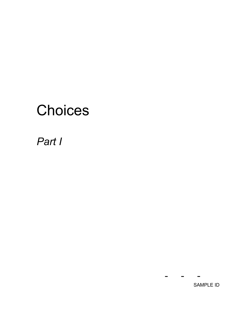# **Choices**

# *Part I*

---

SAMPLE ID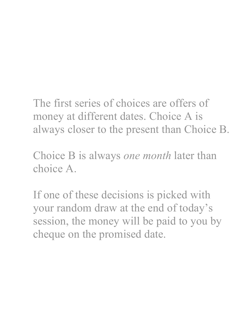The first series of choices are offers of money at different dates. Choice A is always closer to the present than Choice B.

Choice B is always *one month* later than choice A.

If one of these decisions is picked with your random draw at the end of today's session, the money will be paid to you by cheque on the promised date.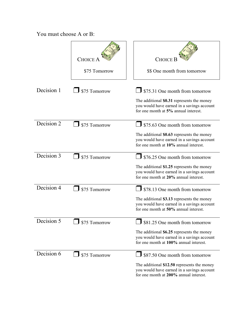|            | CHOICE A<br>\$75 Tomorrow | <b>CHOICE</b> I<br>\$\$ One month from tomorrow                                                                                     |
|------------|---------------------------|-------------------------------------------------------------------------------------------------------------------------------------|
|            |                           |                                                                                                                                     |
| Decision 1 | \$75 Tomorrow             | \$75.31 One month from tomorrow<br>The additional \$0.31 represents the money<br>you would have earned in a savings account         |
|            |                           | for one month at 5% annual interest.                                                                                                |
| Decision 2 | \$75 Tomorrow             | \$75.63 One month from tomorrow                                                                                                     |
|            |                           | The additional \$0.63 represents the money<br>you would have earned in a savings account<br>for one month at 10% annual interest.   |
| Decision 3 | \$75 Tomorrow             | \$76.25 One month from tomorrow                                                                                                     |
|            |                           | The additional \$1.25 represents the money<br>you would have earned in a savings account<br>for one month at 20% annual interest.   |
| Decision 4 | \$75 Tomorrow             | \$78.13 One month from tomorrow                                                                                                     |
|            |                           | The additional \$3.13 represents the money<br>you would have earned in a savings account<br>for one month at 50% annual interest.   |
| Decision 5 | $J$ \$75 Tomorrow         | $\Box$ \$81.25 One month from tomorrow                                                                                              |
|            |                           | The additional \$6.25 represents the money<br>you would have earned in a savings account<br>for one month at 100% annual interest.  |
| Decision 6 | \$75 Tomorrow             | \$87.50 One month from tomorrow                                                                                                     |
|            |                           | The additional \$12.50 represents the money<br>you would have earned in a savings account<br>for one month at 200% annual interest. |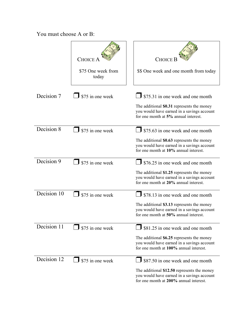|             | CHOICE<br>\$75 One week from<br>today | <b>CHOICE</b> I<br>\$\$ One week and one month from today                                                                                                                      |
|-------------|---------------------------------------|--------------------------------------------------------------------------------------------------------------------------------------------------------------------------------|
| Decision 7  | \$75 in one week                      | <b>J</b> \$75.31 in one week and one month<br>The additional \$0.31 represents the money<br>you would have earned in a savings account<br>for one month at 5% annual interest. |
| Decision 8  | \$75 in one week                      | \$75.63 in one week and one month<br>The additional \$0.63 represents the money<br>you would have earned in a savings account<br>for one month at 10% annual interest.         |
| Decision 9  | \$75 in one week                      | \$76.25 in one week and one month<br>The additional \$1.25 represents the money<br>you would have earned in a savings account<br>for one month at 20% annual interest.         |
| Decision 10 | \$75 in one week                      | \$78.13 in one week and one month<br>The additional \$3.13 represents the money<br>you would have earned in a savings account<br>for one month at 50% annual interest.         |
| Decision 11 | \$75 in one week                      | \$81.25 in one week and one month<br>The additional \$6.25 represents the money<br>you would have earned in a savings account<br>for one month at 100% annual interest.        |
| Decision 12 | \$75 in one week                      | \$87.50 in one week and one month<br>The additional \$12.50 represents the money<br>you would have earned in a savings account<br>for one month at 200% annual interest.       |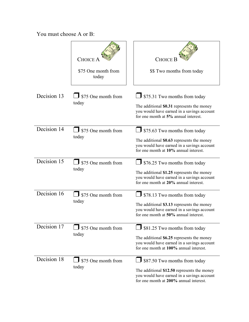|             | CHOICE<br>\$75 One month from<br>today | <b>CHOICE</b> I<br>\$\$ Two months from today                                                                                                                                    |
|-------------|----------------------------------------|----------------------------------------------------------------------------------------------------------------------------------------------------------------------------------|
| Decision 13 | \$75 One month from<br>today           | $\frac{1}{2}$ \$75.31 Two months from today<br>The additional \$0.31 represents the money<br>you would have earned in a savings account<br>for one month at 5% annual interest.  |
| Decision 14 | \$75 One month from<br>today           | $\frac{1}{2}$ \$75.63 Two months from today<br>The additional \$0.63 represents the money<br>you would have earned in a savings account<br>for one month at 10% annual interest. |
| Decision 15 | $\int$ \$75 One month from<br>today    | $\frac{1}{2}$ \$76.25 Two months from today<br>The additional \$1.25 represents the money<br>you would have earned in a savings account<br>for one month at 20% annual interest. |
| Decision 16 | \$75 One month from<br>today           | \$78.13 Two months from today<br>The additional \$3.13 represents the money<br>you would have earned in a savings account<br>for one month at 50% annual interest.               |
| Decision 17 | \$75 One month from<br>today           | \$81.25 Two months from today<br>The additional \$6.25 represents the money<br>you would have earned in a savings account<br>for one month at 100% annual interest.              |
| Decision 18 | \$75 One month from<br>today           | \$87.50 Two months from today<br>The additional \$12.50 represents the money<br>you would have earned in a savings account<br>for one month at 200% annual interest.             |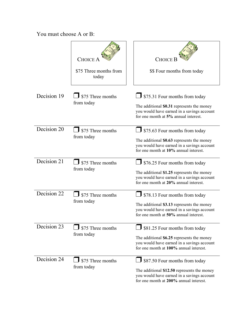|             | <b>CHOICE</b><br>\$75 Three months from<br>today | <b>CHOICE</b><br>\$\$ Four months from today                                                                                                                                      |
|-------------|--------------------------------------------------|-----------------------------------------------------------------------------------------------------------------------------------------------------------------------------------|
| Decision 19 | $\blacksquare$ \$75 Three months<br>from today   | $\frac{1}{2}$ \$75.31 Four months from today<br>The additional \$0.31 represents the money<br>you would have earned in a savings account<br>for one month at 5% annual interest.  |
| Decision 20 | \$75 Three months<br>from today                  | <b>J</b> \$75.63 Four months from today<br>The additional \$0.63 represents the money<br>you would have earned in a savings account<br>for one month at 10% annual interest.      |
| Decision 21 | \$75 Three months<br>from today                  | $\int$ \$76.25 Four months from today<br>The additional \$1.25 represents the money<br>you would have earned in a savings account<br>for one month at 20% annual interest.        |
| Decision 22 | \$75 Three months<br>from today                  | $\frac{1}{2}$ \$78.13 Four months from today<br>The additional \$3.13 represents the money<br>you would have earned in a savings account<br>for one month at 50% annual interest. |
| Decision 23 | \$75 Three months<br>from today                  | \$81.25 Four months from today<br>The additional \$6.25 represents the money<br>you would have earned in a savings account<br>for one month at 100% annual interest.              |
| Decision 24 | $\frac{1}{2}$ \$75 Three months<br>from today    | $\Box$ \$87.50 Four months from today<br>The additional \$12.50 represents the money<br>you would have earned in a savings account<br>for one month at 200% annual interest.      |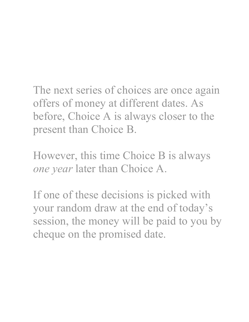The next series of choices are once again offers of money at different dates. As before, Choice A is always closer to the present than Choice B.

However, this time Choice B is always *one year* later than Choice A.

If one of these decisions is picked with your random draw at the end of today's session, the money will be paid to you by cheque on the promised date.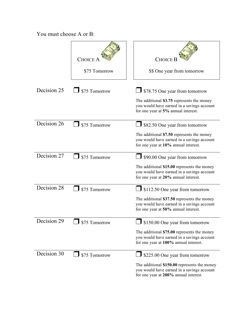|             | CHOICE<br>\$75 Tomorrow | <b>CHOICE</b> I<br>\$\$ One year from tomorrow                                                                                      |
|-------------|-------------------------|-------------------------------------------------------------------------------------------------------------------------------------|
| Decision 25 | \$75 Tomorrow           | $\overline{\mathbf{J}}$ \$78.75 One year from tomorrow<br>The additional \$3.75 represents the money                                |
|             |                         | you would have earned in a savings account<br>for one year at 5% annual interest.                                                   |
| Decision 26 | \$75 Tomorrow           | \$82.50 One year from tomorrow                                                                                                      |
|             |                         | The additional \$7.50 represents the money<br>you would have earned in a savings account<br>for one year at 10% annual interest.    |
| Decision 27 | \$75 Tomorrow           | S90.00 One year from tomorrow                                                                                                       |
|             |                         | The additional \$15.00 represents the money<br>you would have earned in a savings account<br>for one year at 20% annual interest.   |
| Decision 28 | \$75 Tomorrow           | $\frac{1}{2}$ \$112.50 One year from tomorrow                                                                                       |
|             |                         | The additional \$37.50 represents the money<br>you would have earned in a savings account<br>for one year at 50% annual interest.   |
| Decision 29 | $J$ \$75 Tomorrow       | $\bigcup$ \$150.00 One year from tomorrow                                                                                           |
|             |                         | The additional \$75.00 represents the money<br>you would have earned in a savings account<br>for one year at 100% annual interest.  |
| Decision 30 | \$75 Tomorrow           | $\frac{1}{2}$ \$225.00 One year from tomorrow                                                                                       |
|             |                         | The additional \$150.00 represents the money<br>you would have earned in a savings account<br>for one year at 200% annual interest. |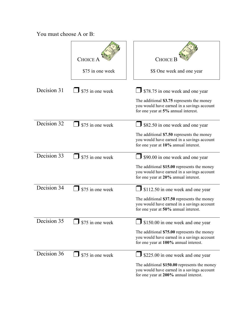|             | CHOICE<br>\$75 in one week     | <b>CHOICE</b> I<br>\$\$ One week and one year                                                                                                                                  |
|-------------|--------------------------------|--------------------------------------------------------------------------------------------------------------------------------------------------------------------------------|
| Decision 31 | \$75 in one week               | \$78.75 in one week and one year<br>The additional \$3.75 represents the money<br>you would have earned in a savings account<br>for one year at 5% annual interest.            |
| Decision 32 | \$75 in one week               | \$82.50 in one week and one year<br>The additional \$7.50 represents the money<br>you would have earned in a savings account<br>for one year at 10% annual interest.           |
| Decision 33 | \$75 in one week               | \$90.00 in one week and one year<br>The additional \$15.00 represents the money<br>you would have earned in a savings account<br>for one year at 20% annual interest.          |
| Decision 34 | \$75 in one week               | \$112.50 in one week and one year<br>The additional \$37.50 represents the money<br>you would have earned in a savings account<br>for one year at 50% annual interest.         |
| Decision 35 | $\frac{1}{2}$ \$75 in one week | $\Box$ \$150.00 in one week and one year<br>The additional \$75.00 represents the money<br>you would have earned in a savings account<br>for one year at 100% annual interest. |
| Decision 36 | \$75 in one week               | \$225.00 in one week and one year<br>The additional \$150.00 represents the money<br>you would have earned in a savings account<br>for one year at 200% annual interest.       |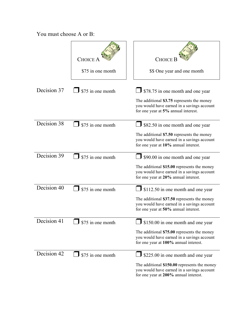|             | <b>CHOICE</b><br>\$75 in one month | <b>CHOICE</b><br>\$\$ One year and one month                                                                                                                                           |
|-------------|------------------------------------|----------------------------------------------------------------------------------------------------------------------------------------------------------------------------------------|
| Decision 37 | \$75 in one month                  | \$78.75 in one month and one year<br>The additional \$3.75 represents the money<br>you would have earned in a savings account<br>for one year at 5% annual interest.                   |
| Decision 38 | \$75 in one month                  | \$82.50 in one month and one year<br>The additional \$7.50 represents the money<br>you would have earned in a savings account<br>for one year at 10% annual interest.                  |
| Decision 39 | \$75 in one month                  | \$90.00 in one month and one year<br>The additional \$15.00 represents the money<br>you would have earned in a savings account<br>for one year at 20% annual interest.                 |
| Decision 40 | \$75 in one month                  | \$112.50 in one month and one year<br>The additional \$37.50 represents the money<br>you would have earned in a savings account<br>for one year at 50% annual interest.                |
| Decision 41 | $\frac{1}{2}$ \$75 in one month    | $\frac{1}{2}$ \$150.00 in one month and one year<br>The additional \$75.00 represents the money<br>you would have earned in a savings account<br>for one year at 100% annual interest. |
| Decision 42 | \$75 in one month                  | S225.00 in one month and one year<br>The additional \$150.00 represents the money<br>you would have earned in a savings account<br>for one year at 200% annual interest.               |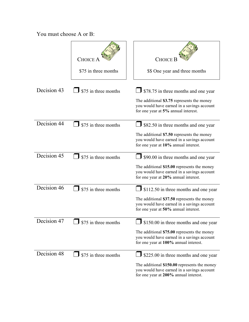|             | CHOICE<br>\$75 in three months     | <b>CHOICE</b> I<br>\$\$ One year and three months                                                                                                                                          |
|-------------|------------------------------------|--------------------------------------------------------------------------------------------------------------------------------------------------------------------------------------------|
| Decision 43 | \$75 in three months               | <b>J</b> \$78.75 in three months and one year<br>The additional \$3.75 represents the money<br>you would have earned in a savings account<br>for one year at 5% annual interest.           |
| Decision 44 | \$75 in three months               | \$82.50 in three months and one year<br>The additional \$7.50 represents the money<br>you would have earned in a savings account<br>for one year at 10% annual interest.                   |
| Decision 45 | \$75 in three months               | <b>J</b> \$90.00 in three months and one year<br>The additional \$15.00 represents the money<br>you would have earned in a savings account<br>for one year at 20% annual interest.         |
| Decision 46 | \$75 in three months               | $\Box$ \$112.50 in three months and one year<br>The additional \$37.50 represents the money<br>you would have earned in a savings account<br>for one year at 50% annual interest.          |
| Decision 47 | $\frac{1}{2}$ \$75 in three months | $\int$ \$150.00 in three months and one year<br>The additional \$75.00 represents the money<br>you would have earned in a savings account<br>for one year at 100% annual interest.         |
| Decision 48 | \$75 in three months               | $\frac{1}{2}$ \$225.00 in three months and one year<br>The additional \$150.00 represents the money<br>you would have earned in a savings account<br>for one year at 200% annual interest. |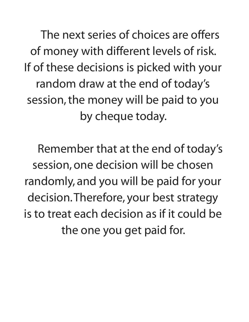The next series of choices are offers of money with different levels of risk. If of these decisions is picked with your random draw at the end of today's session,the money will be paid to you by cheque today.

 Remember that at the end of today's session, one decision will be chosen randomly, and you will be paid for your decision.Therefore, your best strategy is to treat each decision as if it could be the one you get paid for.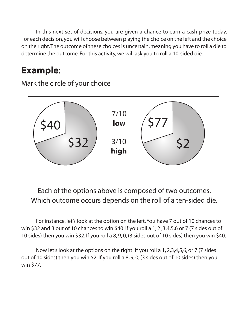In this next set of decisions, you are given a chance to earn a cash prize today. For each decision,you will choose between playing the choice on the left and the choice on the right.The outcome of these choicesis uncertain,meaning you have to roll a die to determine the outcome. For this activity, we will ask you to roll a 10-sided die.

# **Example**:

Mark the circle of your choice



Each of the options above is composed of two outcomes. Which outcome occurs depends on the roll of a ten-sided die.

For instance, let's look at the option on the left.You have 7 out of 10 chances to win \$32 and 3 out of 10 chances to win \$40. If you roll a 1, 2 ,3,4,5,6 or 7 (7 sides out of 10 sides) then you win \$32. If you roll a 8, 9, 0, (3 sides out of 10 sides) then you win \$40.

Now let's look at the options on the right. If you roll a 1, 2,3,4,5,6, or 7 (7 sides out of 10 sides) then you win \$2. If you roll a 8, 9, 0, (3 sides out of 10 sides) then you win \$77.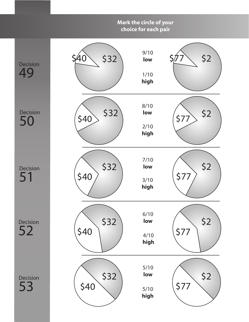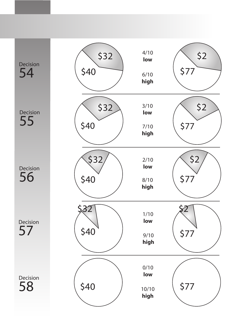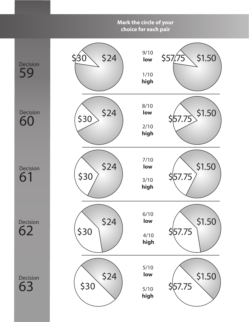#### Decision 59 Decision 60 Decision 61 Decision 62 Decision 63 **Mark the circle of your choice for each pair** \$30 \$30 \$30 \$30 \$30 \$1.50 \$1.50 \$1.50 \$1.50 \$1.50  $$24$   $\frac{$710}{$10}$  \$57.75 \$24 \$24 \$24 \$24 9/10 **low** 1/10 **high** 8/10 **low** 2/10 **high** 7/10 **low** 3/10 **high** 6/10 **low** 4/10 **high** 5/10 **low** 5/10 **high** \$57.75 \$57.75 \$57.75 \$57.75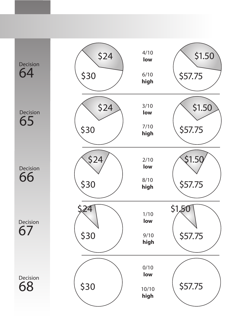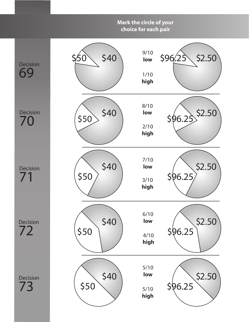#### Decision 69 Decision 70 Decision Decision 72 **Mark the circle of your choice for each pair** \$50 \$50 \$50 \$50 \$2.50 \$2.50 \$2.50 \$2.50 \$2.50  $$40$   $\frac{$10}{$10}$  \$96.25 \$40 \$40 \$40 \$40 9/10 **low** 1/10 **high** 8/10 **low** 2/10 **high** 7/10 **low** 3/10 **high** 6/10 **low** 4/10 **high** 5/10 **low** \$96.25  $$6.25$ \$96.25 \$96.25

5/10 **high**

Decision 73

\$50

71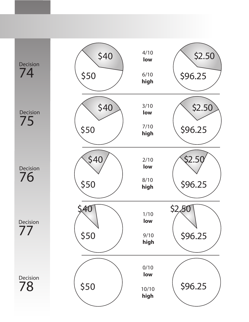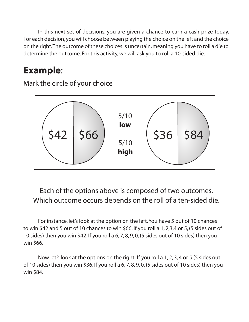In this next set of decisions, you are given a chance to earn a cash prize today. For each decision,you will choose between playing the choice on the left and the choice on the right.The outcome of these choicesis uncertain,meaning you have to roll a die to determine the outcome. For this activity, we will ask you to roll a 10-sided die.

# **Example**:

Mark the circle of your choice



Each of the options above is composed of two outcomes. Which outcome occurs depends on the roll of a ten-sided die.

For instance, let's look at the option on the left.You have 5 out of 10 chances to win \$42 and 5 out of 10 chances to win \$66. If you roll a 1, 2,3,4 or 5, (5 sides out of 10 sides) then you win \$42. If you roll a 6, 7, 8, 9, 0, (5 sides out of 10 sides) then you win \$66.

Now let's look at the options on the right. If you roll a 1, 2, 3, 4 or 5 (5 sides out of 10 sides) then you win \$36. If you roll a 6, 7, 8, 9, 0, (5 sides out of 10 sides) then you win \$84.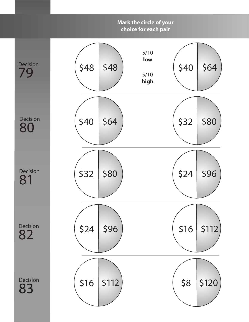

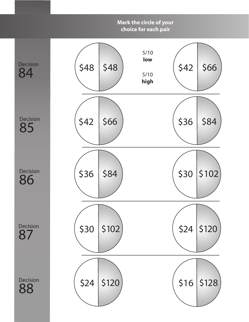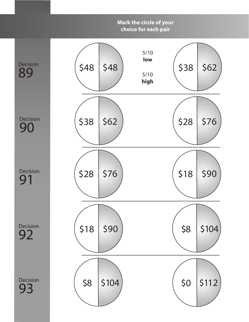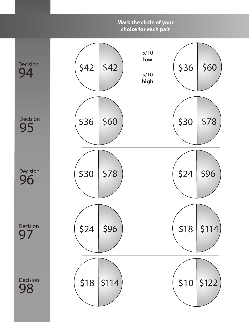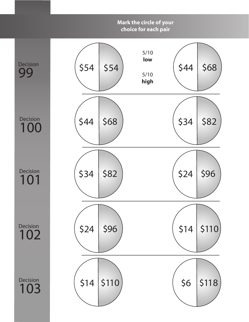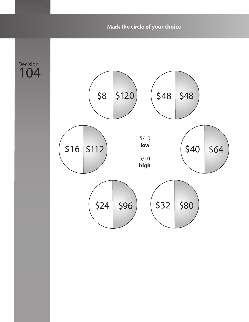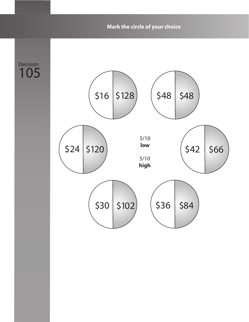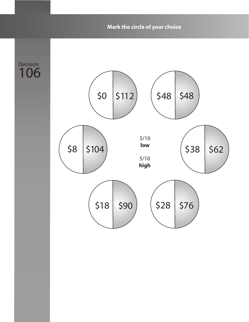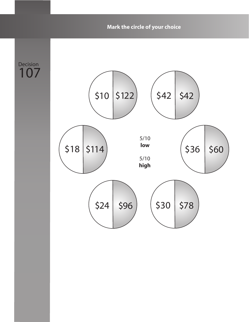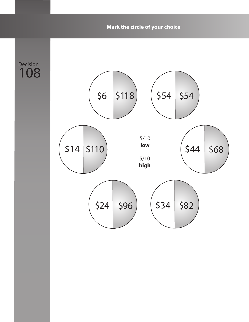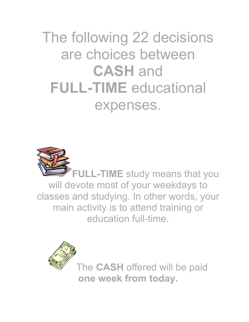The following 22 decisions are choices between **CASH** and **FULL-TIME** educational expenses.



**FULL-TIME** study means that you will devote most of your weekdays to classes and studying. In other words, your main activity is to attend training or education full-time.



The **CASH** offered will be paid **one week from today.**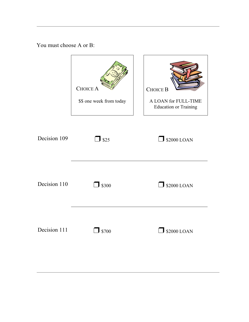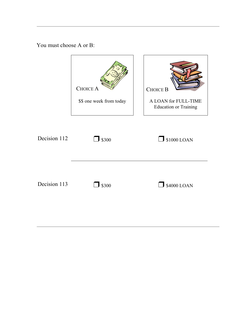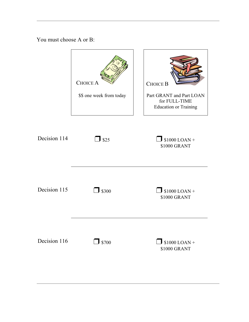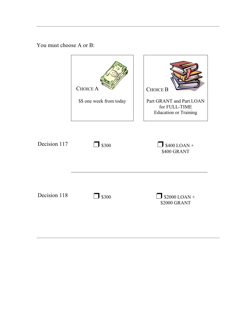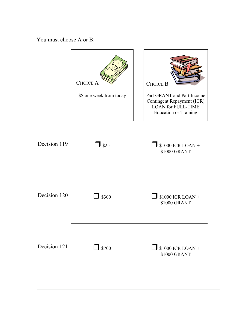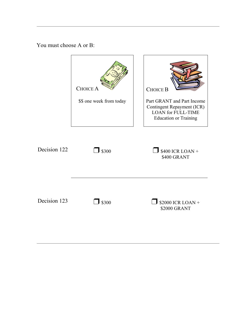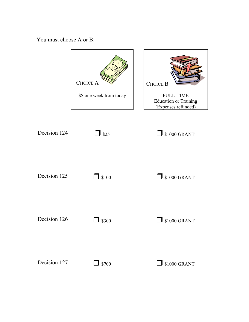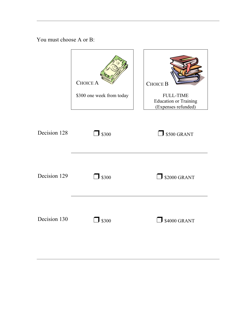